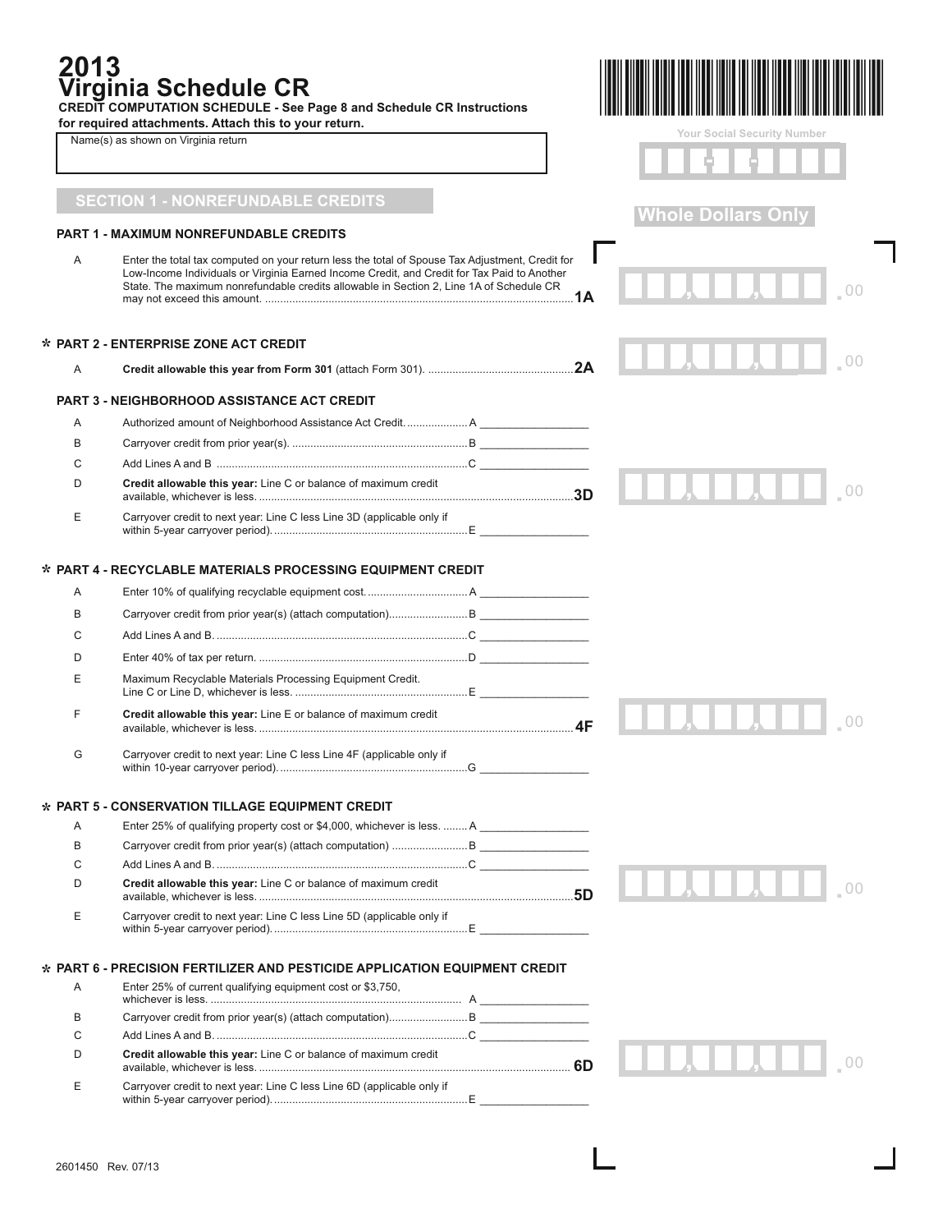| 2013 | Virginia Schedule CR<br>CREDIT COMPUTATION SCHEDULE - See Page 8 and Schedule CR Instructions<br>for required attachments. Attach this to your return.                                 |                                    |
|------|----------------------------------------------------------------------------------------------------------------------------------------------------------------------------------------|------------------------------------|
|      | Name(s) as shown on Virginia return                                                                                                                                                    | <b>Your Social Security Number</b> |
|      |                                                                                                                                                                                        |                                    |
|      | <b>SECTION 1 - NONREFUNDABLE CREDITS</b>                                                                                                                                               |                                    |
|      | <b>PART 1 - MAXIMUM NONREFUNDABLE CREDITS</b>                                                                                                                                          | <b>Whole Dollars Only</b>          |
| A    | Enter the total tax computed on your return less the total of Spouse Tax Adjustment, Credit for                                                                                        |                                    |
|      | Low-Income Individuals or Virginia Earned Income Credit, and Credit for Tax Paid to Another<br>State. The maximum nonrefundable credits allowable in Section 2, Line 1A of Schedule CR |                                    |
|      | * PART 2 - ENTERPRISE ZONE ACT CREDIT                                                                                                                                                  |                                    |
| A    |                                                                                                                                                                                        |                                    |
|      | <b>PART 3 - NEIGHBORHOOD ASSISTANCE ACT CREDIT</b>                                                                                                                                     |                                    |
| A    | Authorized amount of Neighborhood Assistance Act Credit A                                                                                                                              |                                    |
| B    |                                                                                                                                                                                        |                                    |
| C    |                                                                                                                                                                                        |                                    |
| D    | Credit allowable this year: Line C or balance of maximum credit                                                                                                                        |                                    |
| E    | Carryover credit to next year: Line C less Line 3D (applicable only if                                                                                                                 |                                    |
|      |                                                                                                                                                                                        |                                    |
|      | * PART 4 - RECYCLABLE MATERIALS PROCESSING EQUIPMENT CREDIT                                                                                                                            |                                    |
| A    |                                                                                                                                                                                        |                                    |
| В    |                                                                                                                                                                                        |                                    |
| C    |                                                                                                                                                                                        |                                    |
| D    |                                                                                                                                                                                        |                                    |
| Е    | Maximum Recyclable Materials Processing Equipment Credit.                                                                                                                              |                                    |
| F    | Credit allowable this year: Line E or balance of maximum credit                                                                                                                        |                                    |
| G    | Carryover credit to next year: Line C less Line 4F (applicable only if                                                                                                                 |                                    |
|      | * PART 5 - CONSERVATION TILLAGE EQUIPMENT CREDIT                                                                                                                                       |                                    |
| A    | Enter 25% of qualifying property cost or \$4,000, whichever is less.  A                                                                                                                |                                    |
| B    |                                                                                                                                                                                        |                                    |
| C    |                                                                                                                                                                                        |                                    |
| D    | Credit allowable this year: Line C or balance of maximum credit                                                                                                                        |                                    |
| Е    | Carryover credit to next year: Line C less Line 5D (applicable only if                                                                                                                 |                                    |
|      | * PART 6 - PRECISION FERTILIZER AND PESTICIDE APPLICATION EQUIPMENT CREDIT                                                                                                             |                                    |
| Α    | Enter 25% of current qualifying equipment cost or \$3,750,                                                                                                                             |                                    |
| В    |                                                                                                                                                                                        |                                    |
| C    |                                                                                                                                                                                        |                                    |
| D    | Credit allowable this year: Line C or balance of maximum credit                                                                                                                        | 11 J J J J J J J                   |
| Ε    | Carryover credit to next year: Line C less Line 6D (applicable only if                                                                                                                 |                                    |

L

 $\blacksquare$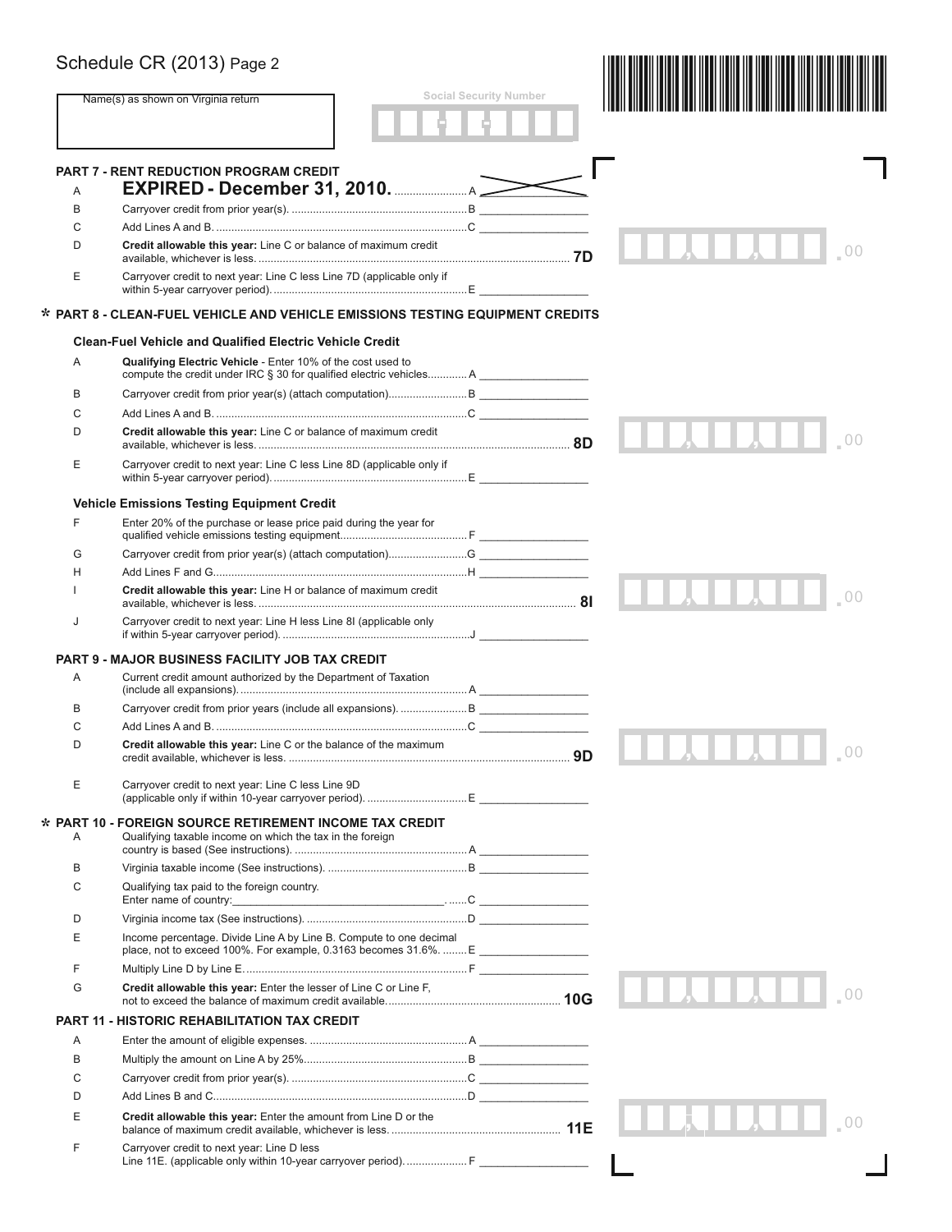|        | Schedule CR (2013) Page 2                                                                                                         | <b>Social Security Number</b> |                                                                                                                                                                                                                                      |
|--------|-----------------------------------------------------------------------------------------------------------------------------------|-------------------------------|--------------------------------------------------------------------------------------------------------------------------------------------------------------------------------------------------------------------------------------|
|        | Name(s) as shown on Virginia return                                                                                               |                               |                                                                                                                                                                                                                                      |
|        | <b>PART 7 - RENT REDUCTION PROGRAM CREDIT</b>                                                                                     |                               |                                                                                                                                                                                                                                      |
| Α<br>B |                                                                                                                                   |                               |                                                                                                                                                                                                                                      |
| C      |                                                                                                                                   |                               |                                                                                                                                                                                                                                      |
| D      | Credit allowable this year: Line C or balance of maximum credit                                                                   |                               |                                                                                                                                                                                                                                      |
| E      | Carryover credit to next year: Line C less Line 7D (applicable only if                                                            |                               |                                                                                                                                                                                                                                      |
|        | * PART 8 - CLEAN-FUEL VEHICLE AND VEHICLE EMISSIONS TESTING EQUIPMENT CREDITS                                                     |                               |                                                                                                                                                                                                                                      |
|        | <b>Clean-Fuel Vehicle and Qualified Electric Vehicle Credit</b>                                                                   |                               |                                                                                                                                                                                                                                      |
| A      | Qualifying Electric Vehicle - Enter 10% of the cost used to<br>compute the credit under IRC § 30 for qualified electric vehiclesA |                               |                                                                                                                                                                                                                                      |
| B      |                                                                                                                                   |                               |                                                                                                                                                                                                                                      |
| C      |                                                                                                                                   |                               |                                                                                                                                                                                                                                      |
| D      | Credit allowable this year: Line C or balance of maximum credit                                                                   |                               |                                                                                                                                                                                                                                      |
| E      | Carryover credit to next year: Line C less Line 8D (applicable only if                                                            |                               |                                                                                                                                                                                                                                      |
|        | <b>Vehicle Emissions Testing Equipment Credit</b>                                                                                 |                               |                                                                                                                                                                                                                                      |
| F      | Enter 20% of the purchase or lease price paid during the year for                                                                 |                               |                                                                                                                                                                                                                                      |
| G      |                                                                                                                                   |                               |                                                                                                                                                                                                                                      |
| н      |                                                                                                                                   |                               |                                                                                                                                                                                                                                      |
|        | Credit allowable this year: Line H or balance of maximum credit                                                                   |                               |                                                                                                                                                                                                                                      |
| J      | Carryover credit to next year: Line H less Line 8I (applicable only                                                               |                               |                                                                                                                                                                                                                                      |
|        | <b>PART 9 - MAJOR BUSINESS FACILITY JOB TAX CREDIT</b>                                                                            |                               |                                                                                                                                                                                                                                      |
| Α      | Current credit amount authorized by the Department of Taxation                                                                    |                               |                                                                                                                                                                                                                                      |
| B      |                                                                                                                                   |                               |                                                                                                                                                                                                                                      |
| C      |                                                                                                                                   |                               | <u> The Common Common Common Common Common Common Common Common Common Common Common Common Common Common Common Common Common Common Common Common Common Common Common Common Common Common Common Common Common Common Common</u> |
| D      | Credit allowable this year: Line C or the balance of the maximum                                                                  |                               | 00                                                                                                                                                                                                                                   |
| Ε      | Carryover credit to next year: Line C less Line 9D                                                                                |                               |                                                                                                                                                                                                                                      |
| Α      | $\star$ PART 10 - FOREIGN SOURCE RETIREMENT INCOME TAX CREDIT<br>Qualifying taxable income on which the tax in the foreign        |                               |                                                                                                                                                                                                                                      |
| В      |                                                                                                                                   |                               |                                                                                                                                                                                                                                      |
| С      | Qualifying tax paid to the foreign country.                                                                                       |                               |                                                                                                                                                                                                                                      |
|        |                                                                                                                                   |                               |                                                                                                                                                                                                                                      |
| D      |                                                                                                                                   |                               |                                                                                                                                                                                                                                      |
| E      | Income percentage. Divide Line A by Line B. Compute to one decimal                                                                |                               |                                                                                                                                                                                                                                      |
| F      |                                                                                                                                   |                               |                                                                                                                                                                                                                                      |
| G      | Credit allowable this year: Enter the lesser of Line C or Line F,                                                                 |                               |                                                                                                                                                                                                                                      |
|        | <b>PART 11 - HISTORIC REHABILITATION TAX CREDIT</b>                                                                               |                               |                                                                                                                                                                                                                                      |
| Α      |                                                                                                                                   |                               |                                                                                                                                                                                                                                      |
| B      |                                                                                                                                   |                               |                                                                                                                                                                                                                                      |
| C      |                                                                                                                                   |                               |                                                                                                                                                                                                                                      |
| D      |                                                                                                                                   |                               |                                                                                                                                                                                                                                      |
| Ε      | Credit allowable this year: Enter the amount from Line D or the                                                                   |                               |                                                                                                                                                                                                                                      |
| F      | Carryover credit to next year: Line D less<br>Line 11E. (applicable only within 10-year carryover period) F                       |                               |                                                                                                                                                                                                                                      |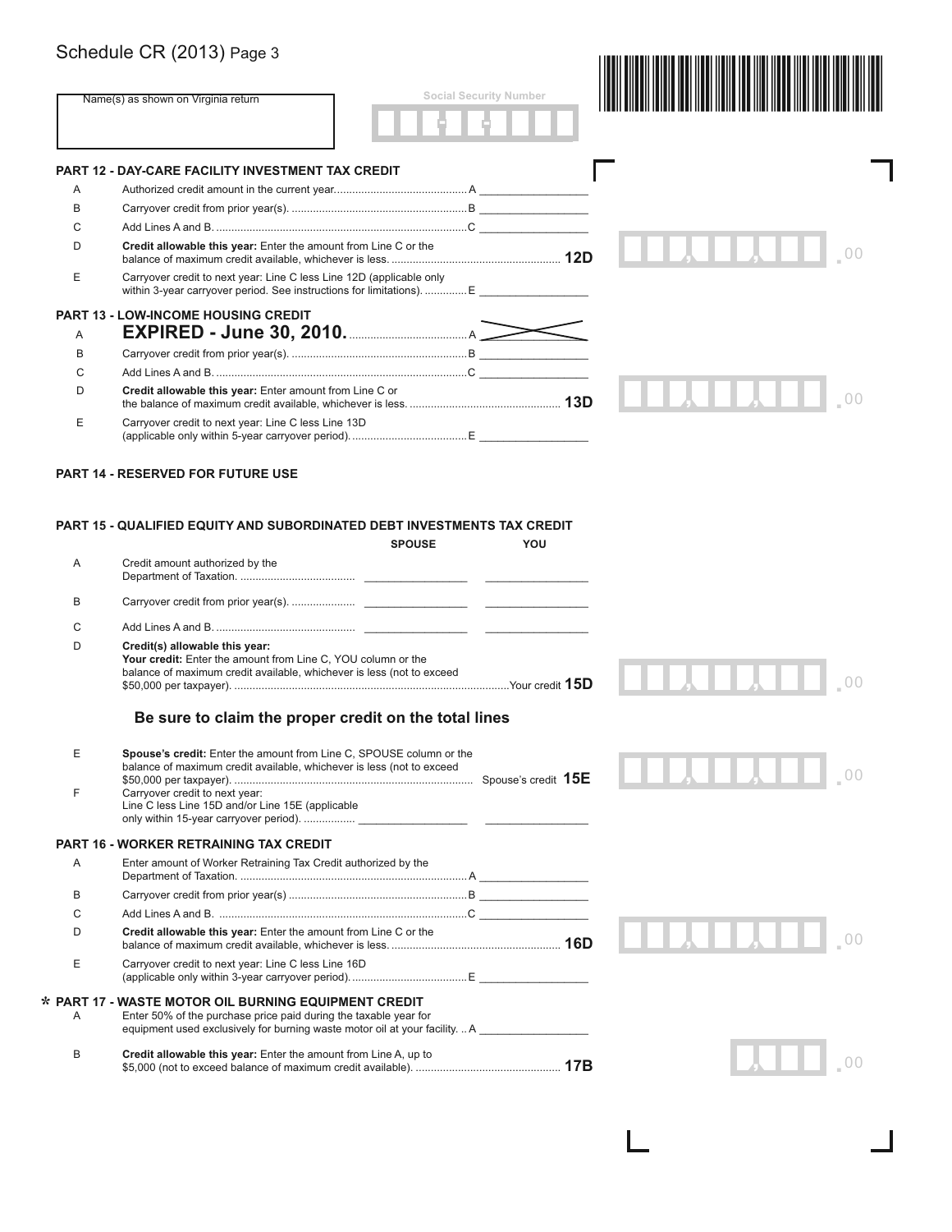|        | Schedule CR (2013) Page 3                                                                                                                                                                                                          |                               |  |
|--------|------------------------------------------------------------------------------------------------------------------------------------------------------------------------------------------------------------------------------------|-------------------------------|--|
|        | Name(s) as shown on Virginia return                                                                                                                                                                                                | <b>Social Security Number</b> |  |
|        | PART 12 - DAY-CARE FACILITY INVESTMENT TAX CREDIT                                                                                                                                                                                  |                               |  |
| Α      |                                                                                                                                                                                                                                    |                               |  |
| В      |                                                                                                                                                                                                                                    |                               |  |
| С      |                                                                                                                                                                                                                                    |                               |  |
| D      | Credit allowable this year: Enter the amount from Line C or the                                                                                                                                                                    |                               |  |
| E      | Carryover credit to next year: Line C less Line 12D (applicable only<br>within 3-year carryover period. See instructions for limitations). E                                                                                       |                               |  |
| A      | <b>PART 13 - LOW-INCOME HOUSING CREDIT</b>                                                                                                                                                                                         |                               |  |
| B      |                                                                                                                                                                                                                                    |                               |  |
| C      |                                                                                                                                                                                                                                    |                               |  |
| D      | Credit allowable this year: Enter amount from Line C or                                                                                                                                                                            |                               |  |
|        |                                                                                                                                                                                                                                    |                               |  |
| E      | Carryover credit to next year: Line C less Line 13D                                                                                                                                                                                |                               |  |
|        |                                                                                                                                                                                                                                    |                               |  |
| Α      | <b>PART 15 - QUALIFIED EQUITY AND SUBORDINATED DEBT INVESTMENTS TAX CREDIT</b><br><b>SPOUSE</b><br>Credit amount authorized by the                                                                                                 | YOU                           |  |
| В      |                                                                                                                                                                                                                                    |                               |  |
|        |                                                                                                                                                                                                                                    |                               |  |
| C<br>D | Credit(s) allowable this year:<br>Your credit: Enter the amount from Line C, YOU column or the<br>balance of maximum credit available, whichever is less (not to exceed                                                            |                               |  |
|        | Be sure to claim the proper credit on the total lines                                                                                                                                                                              |                               |  |
| Е<br>F | Spouse's credit: Enter the amount from Line C, SPOUSE column or the<br>balance of maximum credit available, whichever is less (not to exceed<br>Carryover credit to next year:<br>Line C less Line 15D and/or Line 15E (applicable |                               |  |
|        | <b>PART 16 - WORKER RETRAINING TAX CREDIT</b>                                                                                                                                                                                      |                               |  |
| Α      | Enter amount of Worker Retraining Tax Credit authorized by the                                                                                                                                                                     |                               |  |
| В      |                                                                                                                                                                                                                                    |                               |  |
| С      |                                                                                                                                                                                                                                    |                               |  |
| D      |                                                                                                                                                                                                                                    |                               |  |
| E      | Credit allowable this year: Enter the amount from Line C or the<br>Carryover credit to next year: Line C less Line 16D                                                                                                             |                               |  |
|        |                                                                                                                                                                                                                                    |                               |  |
| Α      | * PART 17 - WASTE MOTOR OIL BURNING EQUIPMENT CREDIT<br>Enter 50% of the purchase price paid during the taxable year for<br>equipment used exclusively for burning waste motor oil at your facilityA                               |                               |  |

 $\Box$ 

 $\mathbf{L}$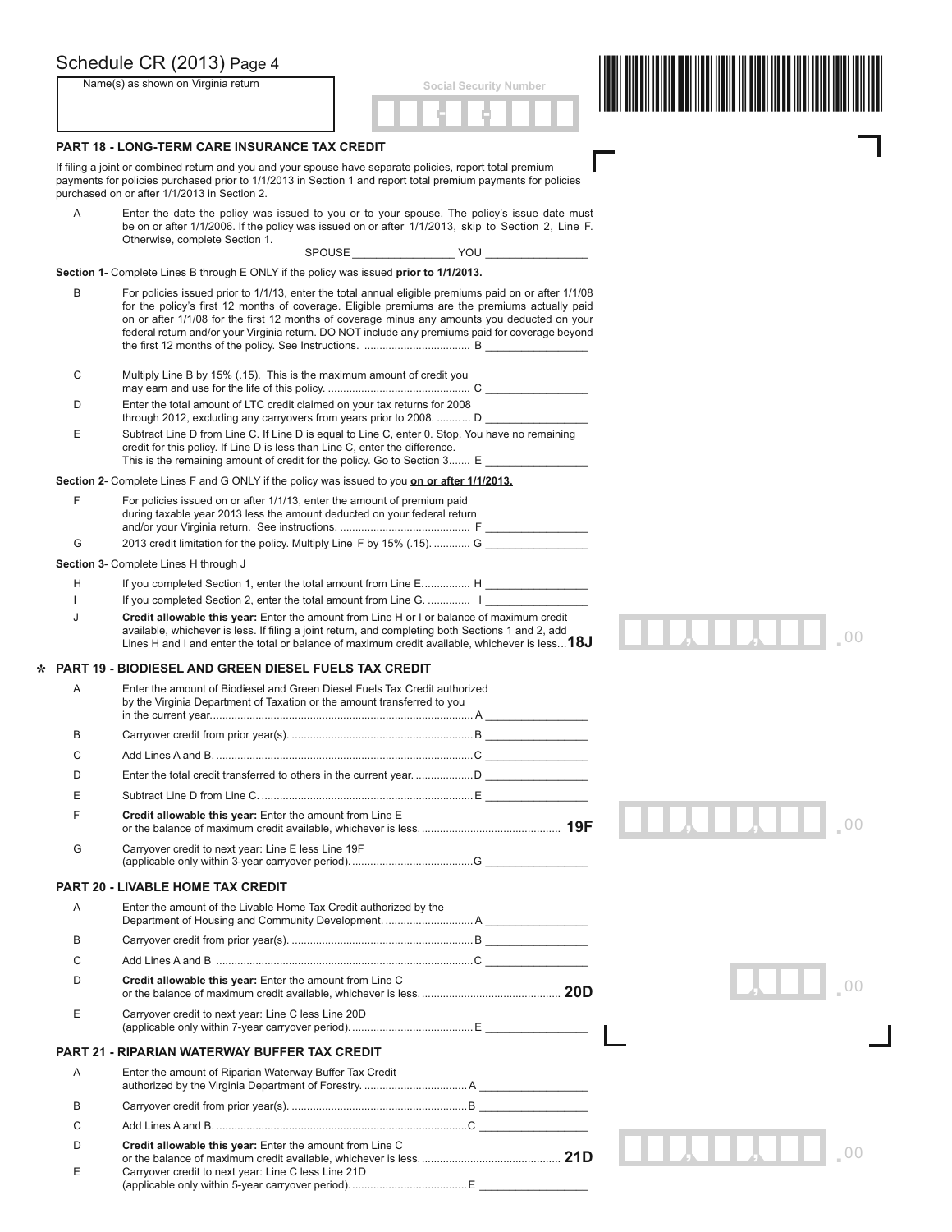|   | Schedule CR (2013) Page 4                                                                                                                                 |                                                                                                                                                                                                                                                                                                                                                                                                              |  |
|---|-----------------------------------------------------------------------------------------------------------------------------------------------------------|--------------------------------------------------------------------------------------------------------------------------------------------------------------------------------------------------------------------------------------------------------------------------------------------------------------------------------------------------------------------------------------------------------------|--|
|   | Name(s) as shown on Virginia return                                                                                                                       | <b>Social Security Number</b>                                                                                                                                                                                                                                                                                                                                                                                |  |
|   |                                                                                                                                                           |                                                                                                                                                                                                                                                                                                                                                                                                              |  |
|   | <b>PART 18 - LONG-TERM CARE INSURANCE TAX CREDIT</b>                                                                                                      |                                                                                                                                                                                                                                                                                                                                                                                                              |  |
|   | If filing a joint or combined return and you and your spouse have separate policies, report total premium<br>purchased on or after 1/1/2013 in Section 2. | payments for policies purchased prior to 1/1/2013 in Section 1 and report total premium payments for policies                                                                                                                                                                                                                                                                                                |  |
| Α | Otherwise, complete Section 1.                                                                                                                            | Enter the date the policy was issued to you or to your spouse. The policy's issue date must<br>be on or after 1/1/2006. If the policy was issued on or after 1/1/2013, skip to Section 2, Line F.                                                                                                                                                                                                            |  |
|   | Section 1- Complete Lines B through E ONLY if the policy was issued prior to 1/1/2013.                                                                    |                                                                                                                                                                                                                                                                                                                                                                                                              |  |
| В |                                                                                                                                                           | For policies issued prior to 1/1/13, enter the total annual eligible premiums paid on or after 1/1/08<br>for the policy's first 12 months of coverage. Eligible premiums are the premiums actually paid<br>on or after 1/1/08 for the first 12 months of coverage minus any amounts you deducted on your<br>federal return and/or your Virginia return. DO NOT include any premiums paid for coverage beyond |  |
| С | Multiply Line B by 15% (.15). This is the maximum amount of credit you                                                                                    |                                                                                                                                                                                                                                                                                                                                                                                                              |  |
| D | Enter the total amount of LTC credit claimed on your tax returns for 2008                                                                                 | through 2012, excluding any carryovers from years prior to 2008.  D                                                                                                                                                                                                                                                                                                                                          |  |
| Ε | credit for this policy. If Line D is less than Line C, enter the difference.                                                                              | Subtract Line D from Line C. If Line D is equal to Line C, enter 0. Stop. You have no remaining<br>This is the remaining amount of credit for the policy. Go to Section 3 E                                                                                                                                                                                                                                  |  |
|   | Section 2- Complete Lines F and G ONLY if the policy was issued to you <b>on or after 1/1/2013.</b>                                                       |                                                                                                                                                                                                                                                                                                                                                                                                              |  |
| F | For policies issued on or after 1/1/13, enter the amount of premium paid<br>during taxable year 2013 less the amount deducted on your federal return      |                                                                                                                                                                                                                                                                                                                                                                                                              |  |
| G |                                                                                                                                                           | 2013 credit limitation for the policy. Multiply Line F by 15% (.15).  G _______________                                                                                                                                                                                                                                                                                                                      |  |
|   | Section 3- Complete Lines H through J                                                                                                                     |                                                                                                                                                                                                                                                                                                                                                                                                              |  |
| н |                                                                                                                                                           | If you completed Section 1, enter the total amount from Line E H                                                                                                                                                                                                                                                                                                                                             |  |
|   |                                                                                                                                                           | If you completed Section 2, enter the total amount from Line G.  I                                                                                                                                                                                                                                                                                                                                           |  |
| J |                                                                                                                                                           | Credit allowable this year: Enter the amount from Line H or I or balance of maximum credit<br>available, whichever is less. If filing a joint return, and completing both Sections 1 and 2, add<br>Lines H and I and enter the total or balance of maximum credit available, whichever is less $18J$                                                                                                         |  |
|   | <b>PART 19 - BIODIESEL AND GREEN DIESEL FUELS TAX CREDIT</b>                                                                                              |                                                                                                                                                                                                                                                                                                                                                                                                              |  |
| Α | Enter the amount of Biodiesel and Green Diesel Fuels Tax Credit authorized<br>by the Virginia Department of Taxation or the amount transferred to you     |                                                                                                                                                                                                                                                                                                                                                                                                              |  |
| R |                                                                                                                                                           |                                                                                                                                                                                                                                                                                                                                                                                                              |  |
| С |                                                                                                                                                           |                                                                                                                                                                                                                                                                                                                                                                                                              |  |
| D |                                                                                                                                                           |                                                                                                                                                                                                                                                                                                                                                                                                              |  |
| Е |                                                                                                                                                           |                                                                                                                                                                                                                                                                                                                                                                                                              |  |
|   | Credit allowable this year: Enter the amount from Line E                                                                                                  |                                                                                                                                                                                                                                                                                                                                                                                                              |  |
| G | Carryover credit to next year: Line E less Line 19F                                                                                                       |                                                                                                                                                                                                                                                                                                                                                                                                              |  |
|   | <b>PART 20 - LIVABLE HOME TAX CREDIT</b>                                                                                                                  |                                                                                                                                                                                                                                                                                                                                                                                                              |  |
| A | Enter the amount of the Livable Home Tax Credit authorized by the                                                                                         | Department of Housing and Community Development.  A                                                                                                                                                                                                                                                                                                                                                          |  |
| В |                                                                                                                                                           |                                                                                                                                                                                                                                                                                                                                                                                                              |  |
| C |                                                                                                                                                           |                                                                                                                                                                                                                                                                                                                                                                                                              |  |
| D | Credit allowable this year: Enter the amount from Line C                                                                                                  |                                                                                                                                                                                                                                                                                                                                                                                                              |  |
| Ε | Carryover credit to next year: Line C less Line 20D                                                                                                       |                                                                                                                                                                                                                                                                                                                                                                                                              |  |
|   | <b>PART 21 - RIPARIAN WATERWAY BUFFER TAX CREDIT</b>                                                                                                      |                                                                                                                                                                                                                                                                                                                                                                                                              |  |
| A | Enter the amount of Riparian Waterway Buffer Tax Credit                                                                                                   |                                                                                                                                                                                                                                                                                                                                                                                                              |  |
| B |                                                                                                                                                           |                                                                                                                                                                                                                                                                                                                                                                                                              |  |
| С |                                                                                                                                                           |                                                                                                                                                                                                                                                                                                                                                                                                              |  |
| D | Credit allowable this year: Enter the amount from Line C                                                                                                  |                                                                                                                                                                                                                                                                                                                                                                                                              |  |

| Carryover credit to next year: Line C less Line 21D |
|-----------------------------------------------------|
|                                                     |
|                                                     |

**\***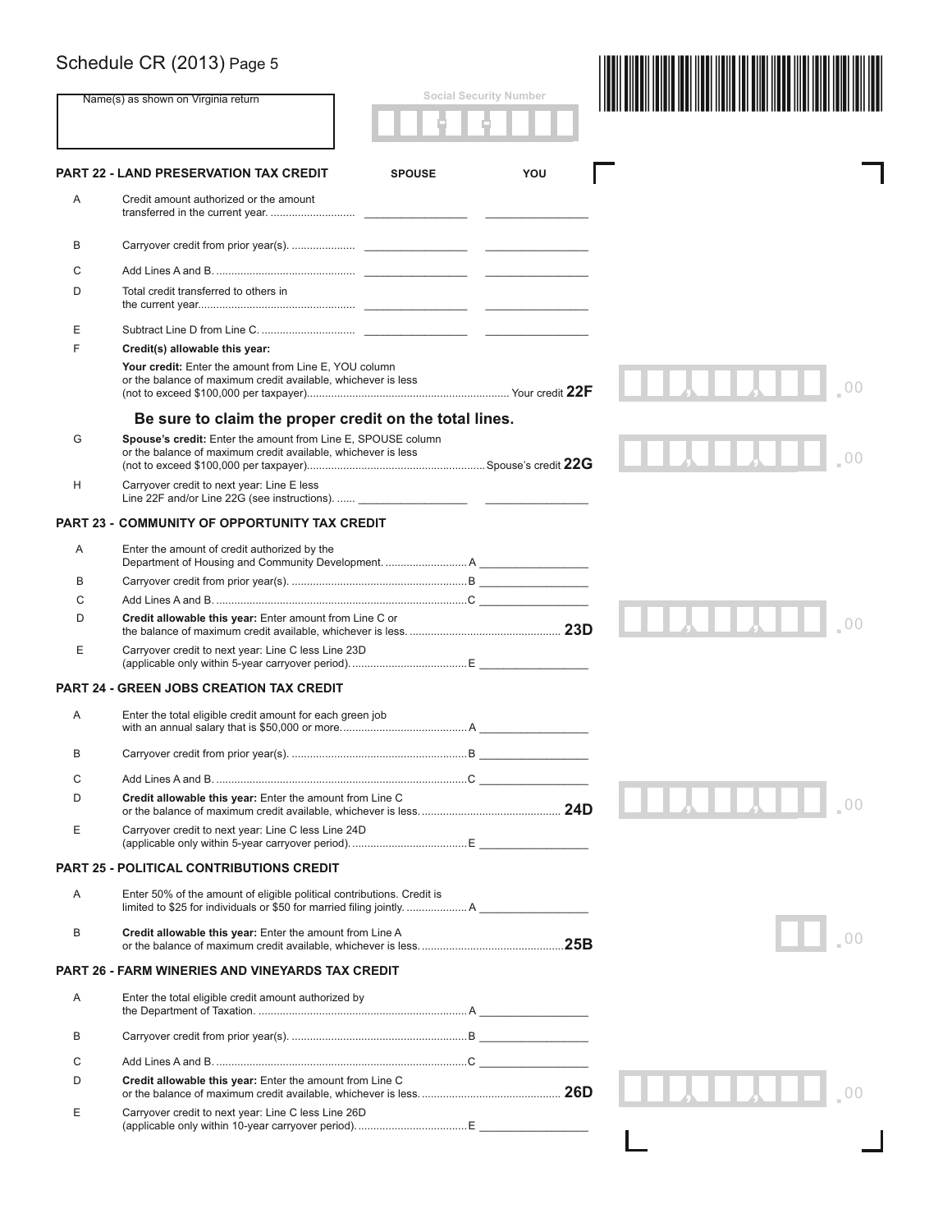|   | Schedule CR (2013) Page 5                                                                                                     |                               |  |
|---|-------------------------------------------------------------------------------------------------------------------------------|-------------------------------|--|
|   | Name(s) as shown on Virginia return                                                                                           | <b>Social Security Number</b> |  |
|   | <b>PART 22 - LAND PRESERVATION TAX CREDIT</b><br><b>SPOUSE</b>                                                                | YOU                           |  |
| Α | Credit amount authorized or the amount                                                                                        |                               |  |
| B |                                                                                                                               |                               |  |
| С |                                                                                                                               |                               |  |
| D | Total credit transferred to others in                                                                                         |                               |  |
| Е |                                                                                                                               |                               |  |
| F | Credit(s) allowable this year:                                                                                                |                               |  |
|   | Your credit: Enter the amount from Line E, YOU column<br>or the balance of maximum credit available, whichever is less        |                               |  |
|   | Be sure to claim the proper credit on the total lines.                                                                        |                               |  |
| G | Spouse's credit: Enter the amount from Line E, SPOUSE column<br>or the balance of maximum credit available, whichever is less |                               |  |
| H | Carryover credit to next year: Line E less                                                                                    |                               |  |
|   | <b>PART 23 - COMMUNITY OF OPPORTUNITY TAX CREDIT</b>                                                                          |                               |  |
| A | Enter the amount of credit authorized by the                                                                                  |                               |  |
| В |                                                                                                                               |                               |  |
| C |                                                                                                                               |                               |  |
| D | Credit allowable this year: Enter amount from Line C or                                                                       |                               |  |
| Ε | Carryover credit to next year: Line C less Line 23D                                                                           |                               |  |
|   | <b>PART 24 - GREEN JOBS CREATION TAX CREDIT</b>                                                                               |                               |  |
| Α | Enter the total eligible credit amount for each green job                                                                     |                               |  |
| В |                                                                                                                               |                               |  |
| С |                                                                                                                               |                               |  |
| D | Credit allowable this year: Enter the amount from Line C                                                                      |                               |  |
| Ε | Carryover credit to next year: Line C less Line 24D                                                                           |                               |  |
|   | <b>PART 25 - POLITICAL CONTRIBUTIONS CREDIT</b>                                                                               |                               |  |
| Α | Enter 50% of the amount of eligible political contributions. Credit is                                                        |                               |  |
| B | Credit allowable this year: Enter the amount from Line A                                                                      |                               |  |
|   | <b>PART 26 - FARM WINERIES AND VINEYARDS TAX CREDIT</b>                                                                       |                               |  |
| Α | Enter the total eligible credit amount authorized by                                                                          |                               |  |
| В |                                                                                                                               |                               |  |
| C |                                                                                                                               |                               |  |
| D | Credit allowable this year: Enter the amount from Line C                                                                      |                               |  |
| Е | Carryover credit to next year: Line C less Line 26D                                                                           |                               |  |
|   |                                                                                                                               |                               |  |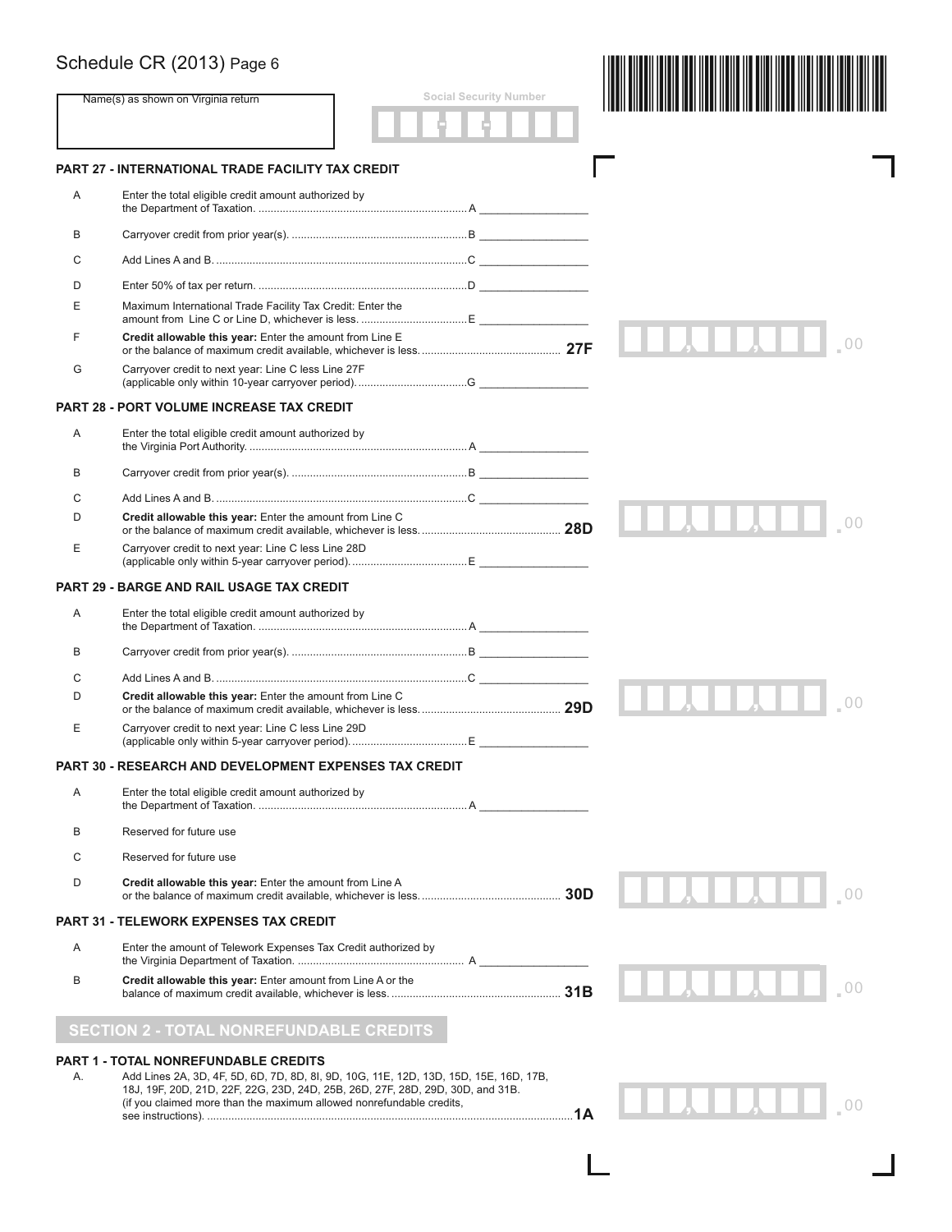|    | Schedule CR (2013) Page 6                                                                                                                                                                                                                       |                               |  |
|----|-------------------------------------------------------------------------------------------------------------------------------------------------------------------------------------------------------------------------------------------------|-------------------------------|--|
|    | Name(s) as shown on Virginia return                                                                                                                                                                                                             | <b>Social Security Number</b> |  |
|    | PART 27 - INTERNATIONAL TRADE FACILITY TAX CREDIT                                                                                                                                                                                               |                               |  |
| A  | Enter the total eligible credit amount authorized by                                                                                                                                                                                            |                               |  |
| В  |                                                                                                                                                                                                                                                 |                               |  |
| С  |                                                                                                                                                                                                                                                 |                               |  |
| D  |                                                                                                                                                                                                                                                 |                               |  |
| E  | Maximum International Trade Facility Tax Credit: Enter the                                                                                                                                                                                      |                               |  |
| F  | Credit allowable this year: Enter the amount from Line E                                                                                                                                                                                        |                               |  |
| G  | Carryover credit to next year: Line C less Line 27F                                                                                                                                                                                             |                               |  |
|    | <b>PART 28 - PORT VOLUME INCREASE TAX CREDIT</b>                                                                                                                                                                                                |                               |  |
| Α  | Enter the total eligible credit amount authorized by                                                                                                                                                                                            |                               |  |
| В  |                                                                                                                                                                                                                                                 |                               |  |
| С  |                                                                                                                                                                                                                                                 |                               |  |
| D  | Credit allowable this year: Enter the amount from Line C                                                                                                                                                                                        |                               |  |
| Е  | Carryover credit to next year: Line C less Line 28D                                                                                                                                                                                             |                               |  |
|    | PART 29 - BARGE AND RAIL USAGE TAX CREDIT                                                                                                                                                                                                       |                               |  |
| Α  | Enter the total eligible credit amount authorized by                                                                                                                                                                                            |                               |  |
| В  |                                                                                                                                                                                                                                                 |                               |  |
| С  |                                                                                                                                                                                                                                                 |                               |  |
| D  | Credit allowable this year: Enter the amount from Line C                                                                                                                                                                                        |                               |  |
| E  | Carryover credit to next year: Line C less Line 29D                                                                                                                                                                                             |                               |  |
|    | <b>PART 30 - RESEARCH AND DEVELOPMENT EXPENSES TAX CREDIT</b>                                                                                                                                                                                   |                               |  |
| A  | Enter the total eligible credit amount authorized by                                                                                                                                                                                            |                               |  |
| В  | Reserved for future use                                                                                                                                                                                                                         |                               |  |
| С  | Reserved for future use                                                                                                                                                                                                                         |                               |  |
| D  | Credit allowable this year: Enter the amount from Line A                                                                                                                                                                                        |                               |  |
|    | <b>PART 31 - TELEWORK EXPENSES TAX CREDIT</b>                                                                                                                                                                                                   |                               |  |
| Α  | Enter the amount of Telework Expenses Tax Credit authorized by                                                                                                                                                                                  |                               |  |
| B  | Credit allowable this year: Enter amount from Line A or the                                                                                                                                                                                     |                               |  |
|    | <b>SECTION 2 - TOTAL NONREFUNDABLE CREDITS</b>                                                                                                                                                                                                  |                               |  |
|    | <b>PART 1 - TOTAL NONREFUNDABLE CREDITS</b>                                                                                                                                                                                                     |                               |  |
| А. | Add Lines 2A, 3D, 4F, 5D, 6D, 7D, 8D, 8I, 9D, 10G, 11E, 12D, 13D, 15D, 15E, 16D, 17B,<br>18J, 19F, 20D, 21D, 22F, 22G, 23D, 24D, 25B, 26D, 27F, 28D, 29D, 30D, and 31B.<br>(if you claimed more than the maximum allowed nonrefundable credits, |                               |  |

L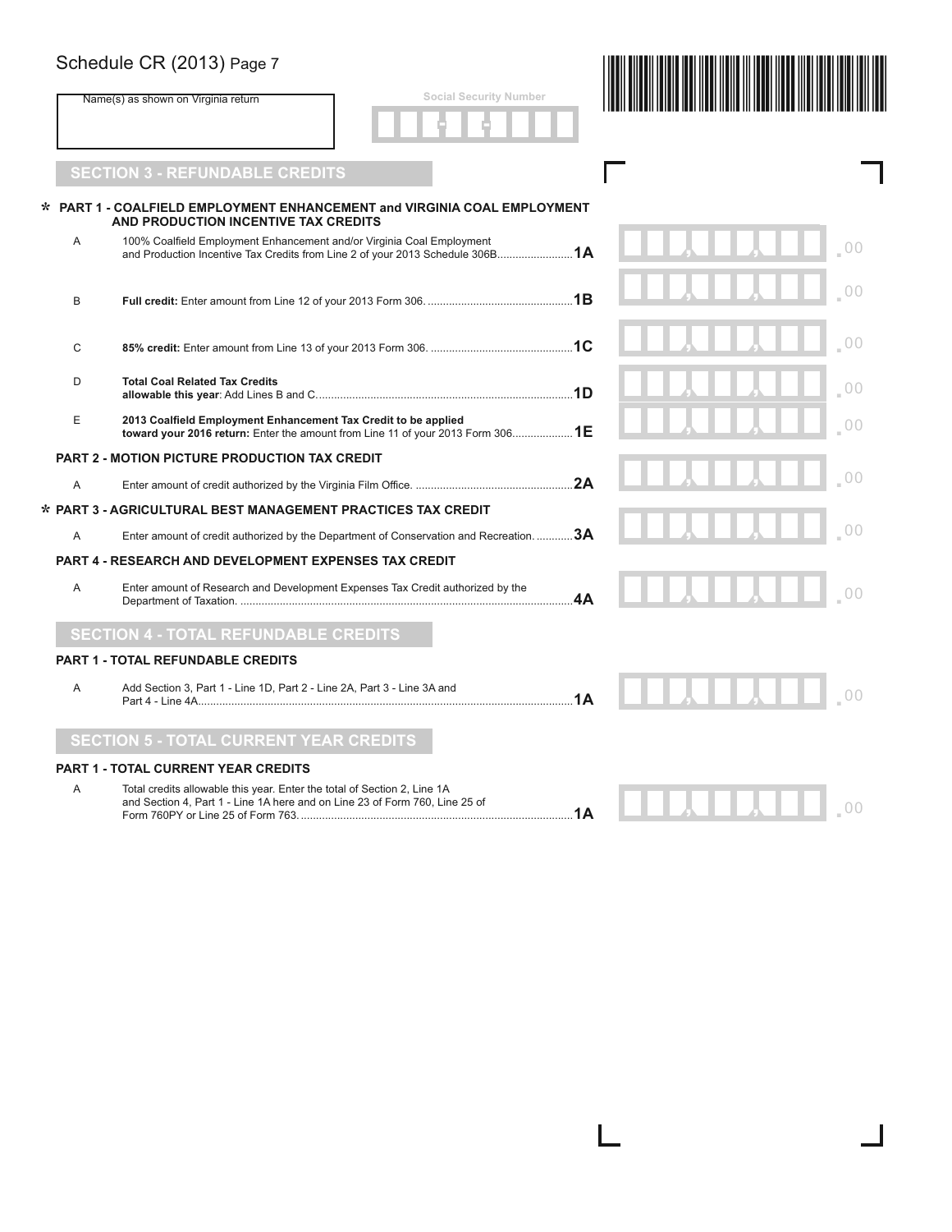|              | Schedule CR (2013) Page 7                                                                                                                               |    |  |                |
|--------------|---------------------------------------------------------------------------------------------------------------------------------------------------------|----|--|----------------|
|              | <b>Social Security Number</b><br>Name(s) as shown on Virginia return                                                                                    |    |  |                |
|              | <b>SECTION 3 - REFUNDABLE CREDITS</b>                                                                                                                   |    |  |                |
|              | PART 1 - COALFIELD EMPLOYMENT ENHANCEMENT and VIRGINIA COAL EMPLOYMENT<br>AND PRODUCTION INCENTIVE TAX CREDITS                                          |    |  |                |
| A            | 100% Coalfield Employment Enhancement and/or Virginia Coal Employment<br>and Production Incentive Tax Credits from Line 2 of your 2013 Schedule 306B 1A |    |  |                |
| B            |                                                                                                                                                         |    |  | 0 <sup>0</sup> |
| $\mathsf{C}$ |                                                                                                                                                         |    |  | 0 <sup>0</sup> |
| D            | <b>Total Coal Related Tax Credits</b>                                                                                                                   |    |  | 0 <sup>0</sup> |
| E            | 2013 Coalfield Employment Enhancement Tax Credit to be applied<br>toward your 2016 return: Enter the amount from Line 11 of your 2013 Form 3061E        |    |  | 00             |
|              | <b>PART 2 - MOTION PICTURE PRODUCTION TAX CREDIT</b>                                                                                                    |    |  |                |
| A            |                                                                                                                                                         |    |  | 0 <sup>0</sup> |
|              | * PART 3 - AGRICULTURAL BEST MANAGEMENT PRACTICES TAX CREDIT                                                                                            |    |  |                |
| Α            | Enter amount of credit authorized by the Department of Conservation and Recreation.  3A                                                                 |    |  |                |
|              | <b>PART 4 - RESEARCH AND DEVELOPMENT EXPENSES TAX CREDIT</b>                                                                                            |    |  |                |
| A            | Enter amount of Research and Development Expenses Tax Credit authorized by the                                                                          | 4A |  |                |
|              | <b>SECTION 4 - TOTAL REFUNDABLE CREDITS</b>                                                                                                             |    |  |                |
|              | <b>PART 1 - TOTAL REFUNDABLE CREDITS</b>                                                                                                                |    |  |                |
| Α            | Add Section 3, Part 1 - Line 1D, Part 2 - Line 2A, Part 3 - Line 3A and                                                                                 | 1A |  |                |
|              | <b>SECTION 5 - TOTAL CURRENT YEAR CREDITS</b>                                                                                                           |    |  |                |
|              | <b>PART 1 - TOTAL CURRENT YEAR CREDITS</b>                                                                                                              |    |  |                |
| A            | Total credits allowable this year. Enter the total of Section 2, Line 1A<br>and Section 4, Part 1 - Line 1A here and on Line 23 of Form 760, Line 25 of |    |  | 00             |

 $\overline{\phantom{a}}$